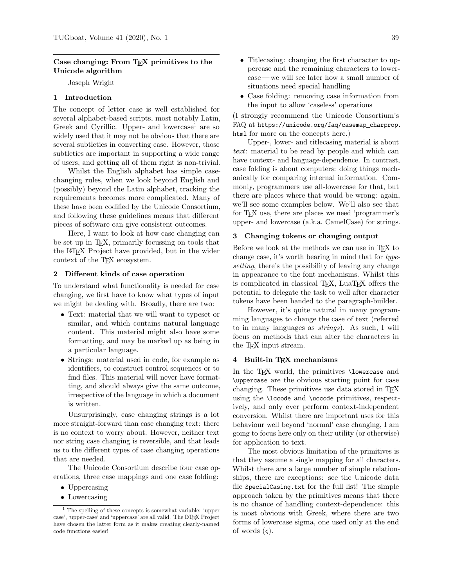# **Case changing: From TEX primitives to the Unicode algorithm**

Joseph Wright

# **1 Introduction**

The concept of letter case is well established for several alphabet-based scripts, most notably Latin, Greek and Cyrillic. Upper- and lowercase<sup>1</sup> are so widely used that it may not be obvious that there are several subtleties in converting case. However, those subtleties are important in supporting a wide range of users, and getting all of them right is non-trivial.

Whilst the English alphabet has simple casechanging rules, when we look beyond English and (possibly) beyond the Latin alphabet, tracking the requirements becomes more complicated. Many of these have been codified by the Unicode Consortium, and following these guidelines means that different pieces of software can give consistent outcomes.

Here, I want to look at how case changing can be set up in TEX, primarily focussing on tools that the LATEX Project have provided, but in the wider context of the T<sub>F</sub>X ecosystem.

### **2 Different kinds of case operation**

To understand what functionality is needed for case changing, we first have to know what types of input we might be dealing with. Broadly, there are two:

- Text: material that we will want to typeset or similar, and which contains natural language content. This material might also have some formatting, and may be marked up as being in a particular language.
- Strings: material used in code, for example as identifiers, to construct control sequences or to find files. This material will never have formatting, and should always give the same outcome, irrespective of the language in which a document is written.

Unsurprisingly, case changing strings is a lot more straight-forward than case changing text: there is no context to worry about. However, neither text nor string case changing is reversible, and that leads us to the different types of case changing operations that are needed.

The Unicode Consortium describe four case operations, three case mappings and one case folding:

- Uppercasing
- Lowercasing

• Case folding: removing case information from the input to allow 'caseless' operations

(I strongly recommend the Unicode Consortium's FAQ at https://unicode.org/faq/casemap\_charprop. html for more on the concepts here.)

Upper-, lower- and titlecasing material is about *text*: material to be read by people and which can have context- and language-dependence. In contrast, case folding is about computers: doing things mechanically for comparing internal information. Commonly, programmers use all-lowercase for that, but there are places where that would be wrong: again, we'll see some examples below. We'll also see that for TEX use, there are places we need 'programmer's upper- and lowercase (a.k.a. CamelCase) for strings.

#### **3 Changing tokens or changing output**

Before we look at the methods we can use in TFX to change case, it's worth bearing in mind that for *typesetting*, there's the possibility of leaving any change in appearance to the font mechanisms. Whilst this is complicated in classical T<sub>EX</sub>, LuaT<sub>EX</sub> offers the potential to delegate the task to well after character tokens have been handed to the paragraph-builder.

However, it's quite natural in many programming languages to change the case of text (referred to in many languages as *strings*). As such, I will focus on methods that can alter the characters in the TEX input stream.

## **4 Built-in TEX mechanisms**

In the T<sub>F</sub>X world, the primitives **\lowercase** and \uppercase are the obvious starting point for case changing. These primitives use data stored in TEX using the \lccode and \uccode primitives, respectively, and only ever perform context-independent conversion. Whilst there are important uses for this behaviour well beyond 'normal' case changing, I am going to focus here only on their utility (or otherwise) for application to text.

The most obvious limitation of the primitives is that they assume a single mapping for all characters. Whilst there are a large number of simple relationships, there are exceptions: see the Unicode data file SpecialCasing.txt for the full list! The simple approach taken by the primitives means that there is no chance of handling context-dependence: this is most obvious with Greek, where there are two forms of lowercase sigma, one used only at the end of words  $(\varsigma)$ .

<sup>1</sup> The spelling of these concepts is somewhat variable: 'upper case', 'upper-case' and 'uppercase' are all valid. The LATEX Project have chosen the latter form as it makes creating clearly-named code functions easier!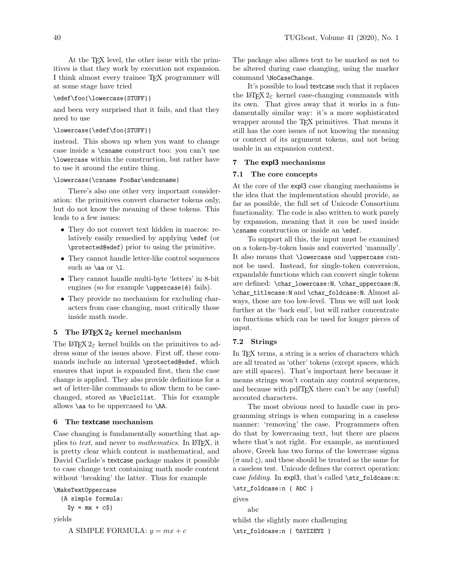At the T<sub>F</sub>X level, the other issue with the primitives is that they work by execution not expansion. I think almost every trainee TEX programmer will at some stage have tried

# \edef\foo{\lowercase{STUFF}}

and been very surprised that it fails, and that they need to use

## \lowercase{\edef\foo{STUFF}}

instead. This shows up when you want to change case inside a \csname construct too: you can't use \lowercase within the construction, but rather have to use it around the entire thing.

#### \lowercase{\csname FooBar\endcsname}

There's also one other very important consideration: the primitives convert character tokens only, but do not know the meaning of these tokens. This leads to a few issues:

- They do not convert text hidden in macros: relatively easily remedied by applying \edef (or \protected@edef) prior to using the primitive.
- They cannot handle letter-like control sequences such as  $\aa$  or  $\lceil$ .
- They cannot handle multi-byte 'letters' in 8-bit engines (so for example \uppercase{é} fails).
- They provide no mechanism for excluding characters from case changing, most critically those inside math mode.

### **5 The LATEX 2**ε **kernel mechanism**

The LATEX  $2\varepsilon$  kernel builds on the primitives to address some of the issues above. First off, these commands include an internal \protected@edef, which ensures that input is expanded first, then the case change is applied. They also provide definitions for a set of letter-like commands to allow them to be casechanged, stored as *\@uclclist*. This for example allows \aa to be uppercased to \AA.

#### **6 The textcase mechanism**

Case changing is fundamentally something that applies to *text*, and never to *mathematics*. In LATEX, it is pretty clear which content is mathematical, and David Carlisle's textcase package makes it possible to case change text containing math mode content without 'breaking' the latter. Thus for example

```
\MakeTextUppercase
```

```
{A simple formula:
```

```
\$y = mx + c$}
```
yields

A SIMPLE FORMULA:  $y = mx + c$ 

The package also allows text to be marked as not to be altered during case changing, using the marker command \NoCaseChange.

It's possible to load textcase such that it replaces the LAT<sub>E</sub>X  $2_{\epsilon}$  kernel case-changing commands with its own. That gives away that it works in a fundamentally similar way: it's a more sophisticated wrapper around the TEX primitives. That means it still has the core issues of not knowing the meaning or context of its argument tokens, and not being usable in an expansion context.

### **7 The expl3 mechanisms**

## **7.1 The core concepts**

At the core of the expl3 case changing mechanisms is the idea that the implementation should provide, as far as possible, the full set of Unicode Consortium functionality. The code is also written to work purely by expansion, meaning that it *can* be used inside \csname construction or inside an \edef.

To support all this, the input must be examined on a token-by-token basis and converted 'manually'. It also means that \lowercase and \uppercase cannot be used. Instead, for single-token conversion, expandable functions which can convert single tokens are defined: \char\_lowercase:N, \char\_uppercase:N, \char\_titlecase:N and \char\_foldcase:N. Almost always, those are too low-level. Thus we will not look further at the 'back end', but will rather concentrate on functions which can be used for longer pieces of input.

# **7.2 Strings**

In T<sub>F</sub>X terms, a string is a series of characters which are all treated as 'other' tokens (except spaces, which are still spaces). That's important here because it means strings won't contain any control sequences, and because with pdfT<sub>EX</sub> there can't be any (useful) accented characters.

The most obvious need to handle case in programming strings is when comparing in a caseless manner: 'removing' the case. Programmers often do that by lowercasing text, but there are places where that's not right. For example, as mentioned above, Greek has two forms of the lowercase sigma  $(\sigma \text{ and } \varsigma)$ , and these should be treated as the same for a caseless test. Unicode defines the correct operation: case *folding*. In expl3, that's called \str\_foldcase:n:

\str\_foldcase:n { AbC } gives abc whilst the slightly more challenging \str\_foldcase:n { ὈΔΥΣΣΕΎΣ }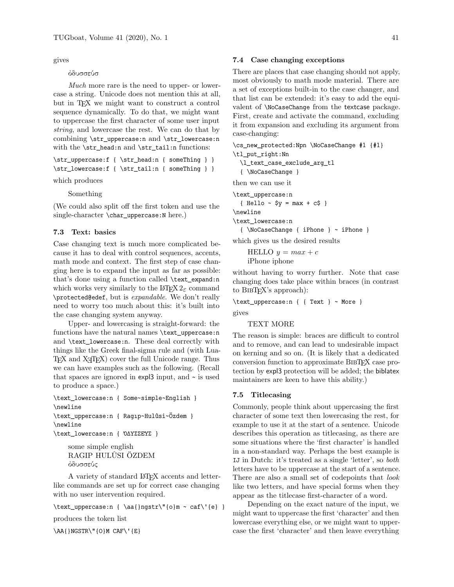gives

## ὀδυσσεύσ

*Much* more rare is the need to upper- or lowercase a string. Unicode does not mention this at all, but in TEX we might want to construct a control sequence dynamically. To do that, we might want to uppercase the first character of some user input *string*, and lowercase the rest. We can do that by combining \str\_uppercase:n and \str\_lowercase:n with the \str\_head:n and \str\_tail:n functions:

\str\_uppercase:f { \str\_head:n { someThing } } \str\_lowercase:f { \str\_tail:n { someThing } }

which produces

Something

(We could also split off the first token and use the single-character \char\_uppercase:N here.)

# **7.3 Text: basics**

Case changing text is much more complicated because it has to deal with control sequences, accents, math mode and context. The first step of case changing here is to expand the input as far as possible: that's done using a function called \text\_expand:n which works very similarly to the  $\text{H}\text{F}X\text{2}_{\varepsilon}$  command \protected@edef, but is *expandable*. We don't really need to worry too much about this: it's built into the case changing system anyway.

Upper- and lowercasing is straight-forward: the functions have the natural names \text\_uppercase:n and \text\_lowercase:n. These deal correctly with things like the Greek final-sigma rule and (with Lua-TEX and XƎTEX) cover the full Unicode range. Thus we can have examples such as the following. (Recall that spaces are ignored in  $\exp 3$  input, and  $\sim$  is used to produce a space.)

\text\_lowercase:n { Some~simple~English } \newline \text\_uppercase:n { Ragıp~Hulûsi~Özdem } \newline \text\_lowercase:n { ὈΔΥΣΣΕΎΣ }

> some simple english RAGIP HULÛSI ÖZDEM ὀδυσσεύς

A variety of standard LATEX accents and letterlike commands are set up for correct case changing with no user intervention required.

\text\_uppercase:n { \aa{}ngstr\"{o}m ~ caf\'{e} } produces the token list \AA{}NGSTR\"{O}M CAF\'{E}

## **7.4 Case changing exceptions**

There are places that case changing should not apply, most obviously to math mode material. There are a set of exceptions built-in to the case changer, and that list can be extended: it's easy to add the equivalent of \NoCaseChange from the textcase package. First, create and activate the command, excluding it from expansion and excluding its argument from case-changing:

\cs\_new\_protected:Npn \NoCaseChange #1 {#1} \tl\_put\_right:Nn

\l\_text\_case\_exclude\_arg\_tl

{ \NoCaseChange }

then we can use it

\text\_uppercase:n  ${He11o - $y = max + c$ }$ \newline \text\_lowercase:n { \NoCaseChange { iPhone } ~ iPhone }

which gives us the desired results

HELLO  $y = max + c$ iPhone iphone

without having to worry further. Note that case changing does take place within braces (in contrast to BIBTEX's approach):

\text\_uppercase:n { { Text } ~ More }

gives

### TEXT MORE

The reason is simple: braces are difficult to control and to remove, and can lead to undesirable impact on kerning and so on. (It is likely that a dedicated conversion function to approximate BIBTEX case protection by expl3 protection will be added; the biblatex maintainers are keen to have this ability.)

# **7.5 Titlecasing**

Commonly, people think about uppercasing the first character of some text then lowercasing the rest, for example to use it at the start of a sentence. Unicode describes this operation as titlecasing, as there are some situations where the 'first character' is handled in a non-standard way. Perhaps the best example is IJ in Dutch: it's treated as a single 'letter', so *both* letters have to be uppercase at the start of a sentence. There are also a small set of codepoints that *look* like two letters, and have special forms when they appear as the titlecase first-character of a word.

Depending on the exact nature of the input, we might want to uppercase the first 'character' and then lowercase everything else, or we might want to uppercase the first 'character' and then leave everything